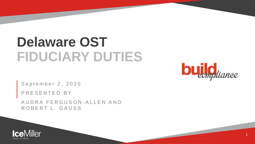## **Delaware OST FIDUCIARY DUTIES**

September 2, 2020

PRESENTED BY

AUDRA FERGUSON-ALLEN AND ROBERT L. GAUSS

| **icemiller.com**



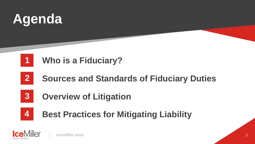## **Agenda**



#### **Who is a Fiduciary?**





#### **4 Best Practices for Mitigating Liability**

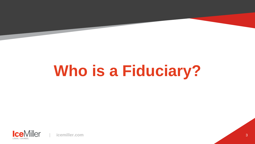# **Who is a Fiduciary?**



| **icemiller.com**

3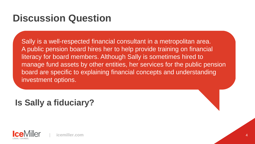#### **Discussion Question**

Sally is a well-respected financial consultant in a metropolitan area. A public pension board hires her to help provide training on financial literacy for board members. Although Sally is sometimes hired to manage fund assets by other entities, her services for the public pension board are specific to explaining financial concepts and understanding investment options.

#### **Is Sally a fiduciary?**

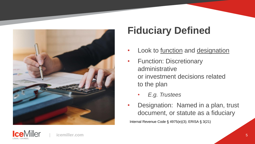

#### **Fiduciary Defined**

- Look to function and designation
- Function: Discretionary administrative or investment decisions related to the plan
	- *E.g. Trustees*
- Designation: Named in a plan, trust document, or statute as a fiduciary Internal Revenue Code § 4975(e)(3); ERISA § 3(21)

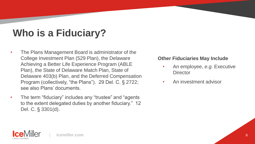#### **Who is a Fiduciary?**

- The Plans Management Board is administrator of the College Investment Plan (529 Plan), the Delaware Achieving a Better Life Experience Program (ABLE Plan), the State of Delaware Match Plan, State of Delaware 403(b) Plan, and the Deferred Compensation Program (collectively, "the Plans"). 29 Del. C. § 2722; see also Plans' documents.
- The term "fiduciary" includes any "trustee" and "agents to the extent delegated duties by another fiduciary." 12 Del. C. § 3301(d).

#### **Other Fiduciaries May Include**

- An employee, *e.g.* Executive **Director**
- An investment advisor

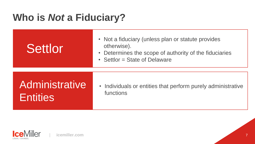#### **Who is** *Not* **a Fiduciary?**

| <b>Settlor</b>        | • Not a fiduciary (unless plan or statute provides<br>otherwise).<br>• Determines the scope of authority of the fiduciaries<br>• Settlor = State of Delaware |
|-----------------------|--------------------------------------------------------------------------------------------------------------------------------------------------------------|
| <b>Administrative</b> | • Individuals or entities that perform purely administrative                                                                                                 |
| <b>Entities</b>       | functions                                                                                                                                                    |



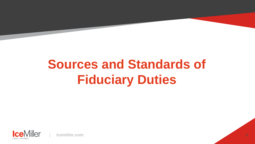## **Sources and Standards of Fiduciary Duties**



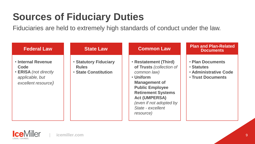### **Sources of Fiduciary Duties**

Fiduciaries are held to extremely high standards of conduct under the law.

| <b>Federal Law</b>                                                                                   | <b>State Law</b>                                                            | <b>Common Law</b>                                                                                                                                                                                                                                 | <b>Plan and Plan-Related</b><br><b>Documents</b>                                           |
|------------------------------------------------------------------------------------------------------|-----------------------------------------------------------------------------|---------------------------------------------------------------------------------------------------------------------------------------------------------------------------------------------------------------------------------------------------|--------------------------------------------------------------------------------------------|
| <b>• Internal Revenue</b><br>Code<br>• ERISA (not directly<br>applicable, but<br>excellent resource) | <b>· Statutory Fiduciary</b><br><b>Rules</b><br><b>· State Constitution</b> | • Restatement (Third)<br>of Trusts (collection of<br>common law)<br>• Uniform<br><b>Management of</b><br><b>Public Employee</b><br><b>Retirement Systems</b><br><b>Act (UMPERSA)</b><br>(even if not adopted by<br>State - excellent<br>resource) | • Plan Documents<br>• Statutes<br><b>. Administrative Code</b><br><b>• Trust Documents</b> |

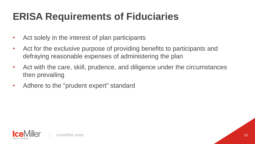#### **ERISA Requirements of Fiduciaries**

- Act solely in the interest of plan participants
- Act for the exclusive purpose of providing benefits to participants and defraying reasonable expenses of administering the plan
- Act with the care, skill, prudence, and diligence under the circumstances then prevailing
- Adhere to the "prudent expert" standard

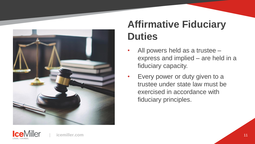

#### **Affirmative Fiduciary Duties**

- All powers held as a trustee express and implied – are held in a fiduciary capacity.
- Every power or duty given to a trustee under state law must be exercised in accordance with fiduciary principles.



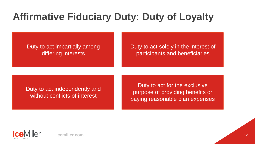#### **Affirmative Fiduciary Duty: Duty of Loyalty**

Duty to act impartially among differing interests

Duty to act solely in the interest of participants and beneficiaries

Duty to act independently and without conflicts of interest

Duty to act for the exclusive purpose of providing benefits or paying reasonable plan expenses



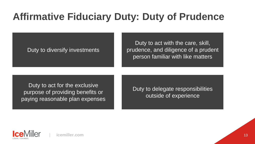#### **Affirmative Fiduciary Duty: Duty of Prudence**

#### Duty to diversify investments

Duty to act with the care, skill, prudence, and diligence of a prudent person familiar with like matters

Duty to act for the exclusive purpose of providing benefits or paying reasonable plan expenses

Duty to delegate responsibilities outside of experience



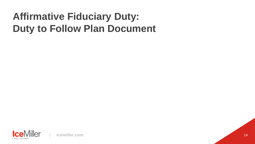#### **Affirmative Fiduciary Duty: Duty to Follow Plan Document**



| **icemiller.com** 14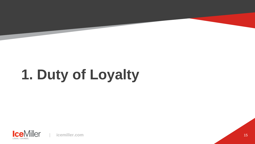# **1. Duty of Loyalty**



| **icemiller.com**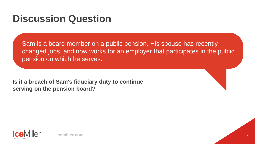#### **Discussion Question**

Sam is a board member on a public pension. His spouse has recently changed jobs, and now works for an employer that participates in the public pension on which he serves.

**Is it a breach of Sam's fiduciary duty to continue serving on the pension board?**

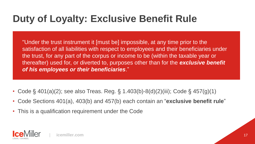### **Duty of Loyalty: Exclusive Benefit Rule**

"Under the trust instrument it [must be] impossible, at any time prior to the satisfaction of all liabilities with respect to employees and their beneficiaries under the trust, for any part of the corpus or income to be (within the taxable year or thereafter) used for, or diverted to, purposes other than for the *exclusive benefit of his employees or their beneficiaries*."

- Code § 401(a)(2); see also Treas. Reg. § 1.403(b)-8(d)(2)(iii); Code § 457(g)(1)
- Code Sections 401(a), 403(b) and 457(b) each contain an "**exclusive benefit rule**"
- This is a qualification requirement under the Code

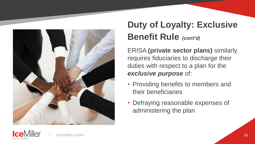

#### **Duty of Loyalty: Exclusive Benefit Rule** *(cont'd)*

ERISA **(private sector plans)** similarly requires fiduciaries to discharge their duties with respect to a plan for the *exclusive purpose* of:

- Providing benefits to members and their beneficiaries
- Defraying reasonable expenses of administering the plan



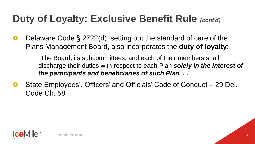### **Duty of Loyalty: Exclusive Benefit Rule** *(cont'd)*

Delaware Code § 2722(d), setting out the standard of care of the  $\bullet$ Plans Management Board, also incorporates the **duty of loyalty**:

> "The Board, its subcommittees, and each of their members shall discharge their duties with respect to each Plan *solely in the interest of the participants and beneficiaries of such Plan. .* **.**"

State Employees', Officers' and Officials' Code of Conduct – 29 Del. O Code Ch. 58

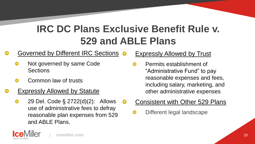#### **IRC DC Plans Exclusive Benefit Rule v. 529 and ABLE Plans**

- Governed by Different IRC Sections  $\bullet$ 
	- Not governed by same Code **Sections**
	- Common law of trusts
- Expressly Allowed by Statute
	- 29 Del. Code § 2722(d)(2): Allows use of administrative fees to defray reasonable plan expenses from 529 and ABLE Plans.
- Expressly Allowed by Trust
- Permits establishment of  $\bullet$ "Administrative Fund" to pay reasonable expenses and fees, including salary, marketing, and other administrative expenses
- Consistent with Other 529 Plans
- Different legal landscape

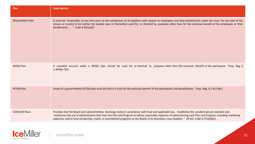| Plan              | <b>Code Section</b>                                                                                                                                                                                                                                                                                                                                                                                                                                                     |
|-------------------|-------------------------------------------------------------------------------------------------------------------------------------------------------------------------------------------------------------------------------------------------------------------------------------------------------------------------------------------------------------------------------------------------------------------------------------------------------------------------|
| 401(a) Match Plan | It must be "impossible, at any time prior to the satisfaction of all liabilities with respect to employees and their beneficiaries under the trust, for any part of the<br>corpus or income to be (within the taxable year or thereafter) used for, or diverted to, purposes other than for the exclusive benefit of his employees or their<br>beneficiaries. " Code § 401(a)(2)                                                                                        |
| 403(b) Plan       | A custodial account under a 403(b) plan cannot be used for, or diverted to, purposes other than the exclusive benefit of the participant. Treas. Reg. §<br>$1.403(b)-7(d)$ .                                                                                                                                                                                                                                                                                            |
| 457(b) Plan       | Assets of a governmental 457(b) plan must be held in a trust for the exclusive benefit of the participants and beneficiaries. Treas. Reg. § 1.457-8(1).                                                                                                                                                                                                                                                                                                                 |
| 529/529A Plans    | Provides that the Board and subcommittees discharge duties in accordance with trust and applicable law. Establishes the prudent person standard and<br>"authorizes the use of administrative fees from the Plan and Program to defray reasonable expenses of administering each Plan and Program, including marketing<br>expenses, and to fund scholarship, match, or promotional programs as the Board, in its discretion, may establish. " 29 Del. Code § 2722(d)(2). |

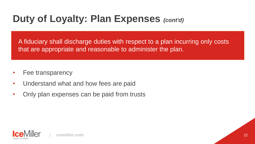#### **Duty of Loyalty: Plan Expenses** *(cont'd)*

A fiduciary shall discharge duties with respect to a plan incurring only costs that are appropriate and reasonable to administer the plan.

- Fee transparency
- Understand what and how fees are paid
- Only plan expenses can be paid from trusts

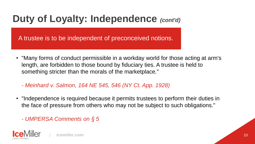### **Duty of Loyalty: Independence** *(cont'd)*

A trustee is to be independent of preconceived notions.

- "Many forms of conduct permissible in a workday world for those acting at arm's length, are forbidden to those bound by fiduciary ties. A trustee is held to something stricter than the morals of the marketplace."
	- *- Meinhard v. Salmon, 164 NE 545, 546 (NY Ct. App. 1928)*
- "Independence is required because it permits trustees to perform their duties in the face of pressure from others who may not be subject to such obligations."
	- *- UMPERSA Comments on § 5*

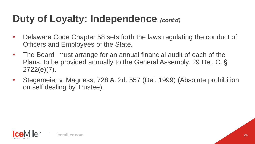#### **Duty of Loyalty: Independence** *(cont'd)*

- Delaware Code Chapter 58 sets forth the laws regulating the conduct of Officers and Employees of the State.
- The Board must arrange for an annual financial audit of each of the Plans, to be provided annually to the General Assembly. 29 Del. C. § 2722(e)(7).
- Stegemeier v. Magness, 728 A. 2d. 557 (Del. 1999) (Absolute prohibition on self dealing by Trustee).

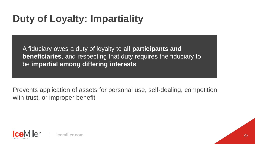### **Duty of Loyalty: Impartiality**

A fiduciary owes a duty of loyalty to **all participants and beneficiaries**, and respecting that duty requires the fiduciary to be **impartial among differing interests**.

Prevents application of assets for personal use, self-dealing, competition with trust, or improper benefit

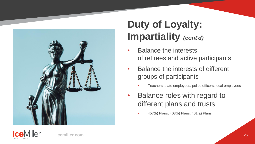

#### **Duty of Loyalty: Impartiality** *(cont'd)*

- Balance the interests of retirees and active participants
- Balance the interests of different groups of participants
	- Teachers, state employees, police officers, local employees
- Balance roles with regard to different plans and trusts
	- 457(b) Plans, 403(b) Plans, 401(a) Plans.

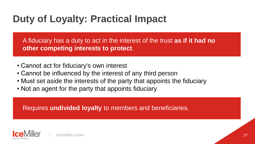#### **Duty of Loyalty: Practical Impact**

A fiduciary has a duty to act in the interest of the trust **as if it had no other competing interests to protect**.

- Cannot act for fiduciary's own interest
- Cannot be influenced by the interest of any third person
- Must set aside the interests of the party that appoints the fiduciary
- Not an agent for the party that appoints fiduciary

Requires **undivided loyalty** to members and beneficiaries.

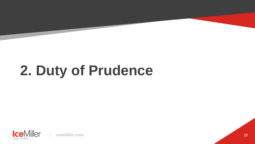## **2. Duty of Prudence**



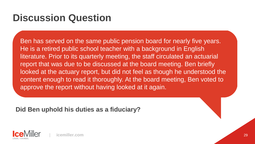#### **Discussion Question**

Ben has served on the same public pension board for nearly five years. He is a retired public school teacher with a background in English literature. Prior to its quarterly meeting, the staff circulated an actuarial report that was due to be discussed at the board meeting. Ben briefly looked at the actuary report, but did not feel as though he understood the content enough to read it thoroughly. At the board meeting, Ben voted to approve the report without having looked at it again.

**Did Ben uphold his duties as a fiduciary?**\

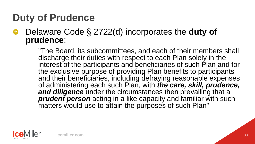#### **Duty of Prudence**

#### Delaware Code § 2722(d) incorporates the **duty of prudence**:

"The Board, its subcommittees, and each of their members shall discharge their duties with respect to each Plan solely in the interest of the participants and beneficiaries of such Plan and for the exclusive purpose of providing Plan benefits to participants and their beneficiaries, including defraying reasonable expenses of administering each such Plan, with *the care, skill, prudence, and diligence* under the circumstances then prevailing that a *prudent person* acting in a like capacity and familiar with such matters would use to attain the purposes of such Plan"

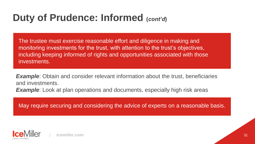#### **Duty of Prudence: Informed (***cont'd***)**

The trustee must exercise reasonable effort and diligence in making and monitoring investments for the trust, with attention to the trust's objectives, including keeping informed of rights and opportunities associated with those investments.

*Example*: Obtain and consider relevant information about the trust, beneficiaries and investments.

*Example*: Look at plan operations and documents, especially high risk areas

May require securing and considering the advice of experts on a reasonable basis.



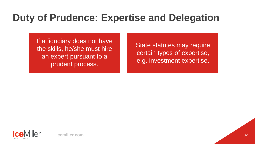#### **Duty of Prudence: Expertise and Delegation**

If a fiduciary does not have the skills, he/she must hire an expert pursuant to a prudent process.

State statutes may require certain types of expertise, e.g. investment expertise.

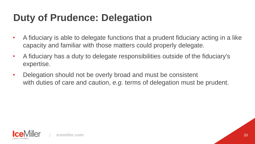#### **Duty of Prudence: Delegation**

- A fiduciary is able to delegate functions that a prudent fiduciary acting in a like capacity and familiar with those matters could properly delegate.
- A fiduciary has a duty to delegate responsibilities outside of the fiduciary's expertise.
- Delegation should not be overly broad and must be consistent with duties of care and caution, *e.g.* terms of delegation must be prudent.

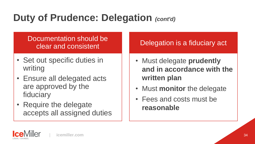#### **Duty of Prudence: Delegation** *(cont'd)*

| <b>Documentation should be</b><br>clear and consistent                                                                                                              | Delegation is a fiduciary act                                                                                                                    |
|---------------------------------------------------------------------------------------------------------------------------------------------------------------------|--------------------------------------------------------------------------------------------------------------------------------------------------|
| • Set out specific duties in<br>writing<br>• Ensure all delegated acts<br>are approved by the<br>fiduciary<br>• Require the delegate<br>accepts all assigned duties | • Must delegate prudently<br>and in accordance with the<br>written plan<br>• Must monitor the delegate<br>• Fees and costs must be<br>reasonable |

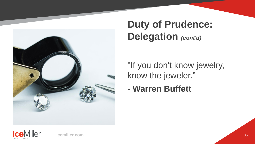

#### **Duty of Prudence: Delegation** *(cont'd)*

"If you don't know jewelry, know the jeweler."

**- Warren Buffett**



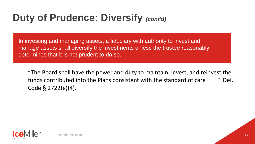#### **Duty of Prudence: Diversify** *(cont'd)*

In investing and managing assets, a fiduciary with authority to invest and manage assets shall diversify the investments unless the trustee reasonably determines that it is not prudent to do so.

"The Board shall have the power and duty to maintain, invest, and reinvest the funds contributed into the Plans consistent with the standard of care . . . ." Del. Code  $\S 2722(e)(4)$ .

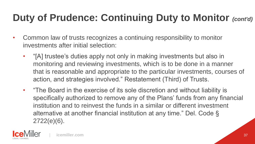#### **Duty of Prudence: Continuing Duty to Monitor** *(cont'd)*

- Common law of trusts recognizes a continuing responsibility to monitor investments after initial selection:
	- "[A] trustee's duties apply not only in making investments but also in monitoring and reviewing investments, which is to be done in a manner that is reasonable and appropriate to the particular investments, courses of action, and strategies involved." Restatement (Third) of Trusts.
	- "The Board in the exercise of its sole discretion and without liability is specifically authorized to remove any of the Plans' funds from any financial institution and to reinvest the funds in a similar or different investment alternative at another financial institution at any time." Del. Code § 2722(e)(6).

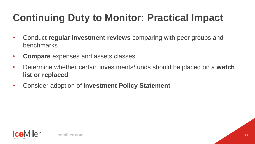### **Continuing Duty to Monitor: Practical Impact**

- Conduct **regular investment reviews** comparing with peer groups and benchmarks
- **Compare** expenses and assets classes
- Determine whether certain investments/funds should be placed on a **watch list or replaced**
- Consider adoption of **Investment Policy Statement**

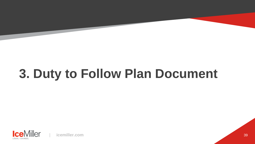## **3. Duty to Follow Plan Document**



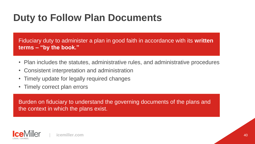#### **Duty to Follow Plan Documents**

Fiduciary duty to administer a plan in good faith in accordance with its **written terms – "by the book."**

- Plan includes the statutes, administrative rules, and administrative procedures
- Consistent interpretation and administration
- Timely update for legally required changes
- Timely correct plan errors

Burden on fiduciary to understand the governing documents of the plans and the context in which the plans exist.

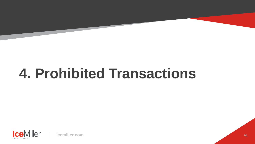## **4. Prohibited Transactions**



| **icemiller.com**

41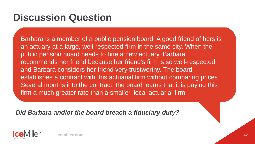#### **Discussion Question**

Barbara is a member of a public pension board. A good friend of hers is an actuary at a large, well-respected firm in the same city. When the public pension board needs to hire a new actuary, Barbara recommends her friend because her friend's firm is so well-respected and Barbara considers her friend very trustworthy. The board establishes a contract with this actuarial firm without comparing prices. Several months into the contract, the board learns that it is paying this firm a much greater rate than a smaller, local actuarial firm.

*Did Barbara and/or the board breach a fiduciary duty?*

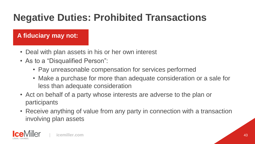### **Negative Duties: Prohibited Transactions**

#### **A fiduciary may not:**

- Deal with plan assets in his or her own interest
- As to a "Disqualified Person":
	- Pay unreasonable compensation for services performed
	- Make a purchase for more than adequate consideration or a sale for less than adequate consideration
- Act on behalf of a party whose interests are adverse to the plan or participants
- Receive anything of value from any party in connection with a transaction involving plan assets

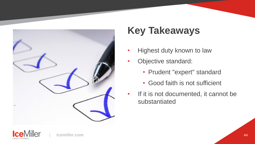

#### **Key Takeaways**

- Highest duty known to law
- Objective standard:
	- Prudent "expert" standard
	- Good faith is not sufficient
- If it is not documented, it cannot be substantiated

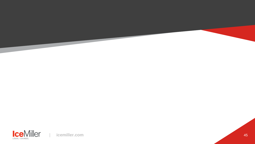

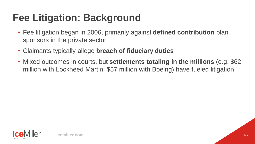#### **Fee Litigation: Background**

- Fee litigation began in 2006, primarily against **defined contribution** plan sponsors in the private sector
- Claimants typically allege **breach of fiduciary duties**
- Mixed outcomes in courts, but **settlements totaling in the millions** (e.g. \$62 million with Lockheed Martin, \$57 million with Boeing) have fueled litigation

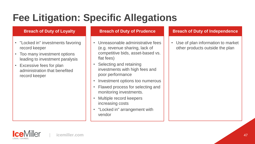#### **Fee Litigation: Specific Allegations**

#### **Breach of Duty of Loyalty**

- "Locked in" investments favoring record keeper
- Too many investment options leading to investment paralysis
- Excessive fees for plan administration that benefited record keeper

#### **Breach of Duty of Prudence**

- Unreasonable administrative fees (e.g. revenue sharing, lack of competitive bids, asset-based vs. flat fees)
- Selecting and retaining investments with high fees and poor performance
- Investment options too numerous
- Flawed process for selecting and monitoring investments.
- Multiple record keepers increasing costs
- "Locked in" arrangement with vendor

#### **Breach of Duty of Independence**

• Use of plan information to market other products outside the plan

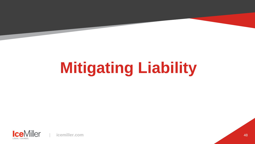# **Mitigating Liability**



| **icemiller.com**

48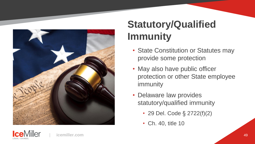

#### **Statutory/Qualified Immunity**

- State Constitution or Statutes may provide some protection
- May also have public officer protection or other State employee immunity
- Delaware law provides statutory/qualified immunity
	- 29 Del. Code § 2722(f)(2)
	- Ch. 40, title 10

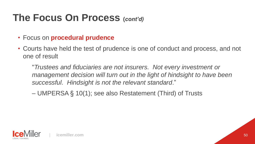#### **The Focus On Process (***cont'd)*

- Focus on **procedural prudence**
- Courts have held the test of prudence is one of conduct and process, and not one of result

"*Trustees and fiduciaries are not insurers. Not every investment or management decision will turn out in the light of hindsight to have been successful. Hindsight is not the relevant standard*."

– UMPERSA § 10(1); see also Restatement (Third) of Trusts

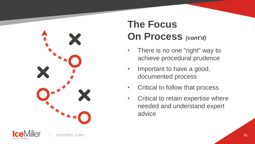

#### **The Focus On Process** *(cont'd)*

- There is no one "right" way to achieve procedural prudence
- Important to have a good, documented process
- Critical to follow that process
- Critical to retain expertise where needed and understand expert advice

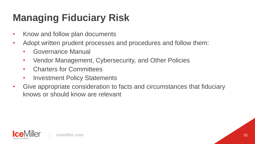### **Managing Fiduciary Risk**

- Know and follow plan documents
- Adopt written prudent processes and procedures and follow them:
	- Governance Manual
	- Vendor Management, Cybersecurity, and Other Policies
	- Charters for Committees
	- Investment Policy Statements
- Give appropriate consideration to facts and circumstances that fiduciary knows or should know are relevant

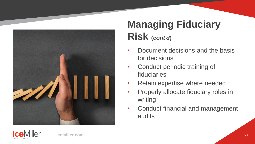

#### **Managing Fiduciary Risk (***cont'd***)**

- Document decisions and the basis for decisions
- Conduct periodic training of fiduciaries
- Retain expertise where needed
- Properly allocate fiduciary roles in writing
- Conduct financial and management audits

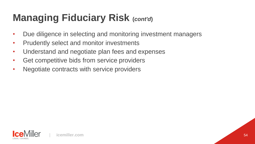### **Managing Fiduciary Risk (cont'd)**

- Due diligence in selecting and monitoring investment managers
- Prudently select and monitor investments
- Understand and negotiate plan fees and expenses
- Get competitive bids from service providers
- Negotiate contracts with service providers

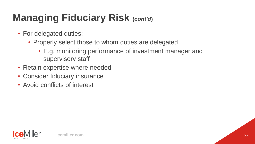### **Managing Fiduciary Risk (cont'd)**

- For delegated duties:
	- Properly select those to whom duties are delegated
		- E.g. monitoring performance of investment manager and supervisory staff
- Retain expertise where needed
- Consider fiduciary insurance
- Avoid conflicts of interest

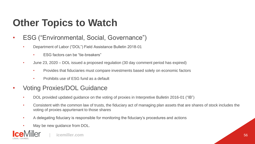#### **Other Topics to Watch**

- ESG ("Environmental, Social, Governance")
	- Department of Labor ("DOL") Field Assistance Bulletin 2018-01
		- ESG factors can be "tie-breakers"
	- June 23, 2020 DOL issued a proposed regulation (30 day comment period has expired)
		- Provides that fiduciaries must compare investments based solely on economic factors
		- Prohibits use of ESG fund as a default
- Voting Proxies/DOL Guidance
	- DOL provided updated guidance on the voting of proxies in Interpretive Bulletin 2016-01 ("IB")
	- Consistent with the common law of trusts, the fiduciary act of managing plan assets that are shares of stock includes the voting of proxies appurtenant to those shares
	- A delegating fiduciary is responsible for monitoring the fiduciary's procedures and actions
	- May be new quidance from DOL.